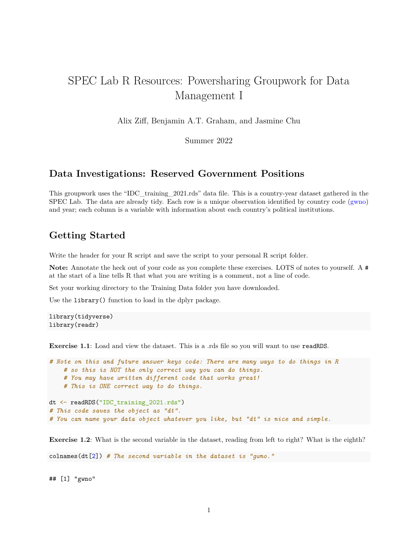# SPEC Lab R Resources: Powersharing Groupwork for Data Management I

Alix Ziff, Benjamin A.T. Graham, and Jasmine Chu

Summer 2022

## **Data Investigations: Reserved Government Positions**

This groupwork uses the "IDC\_training\_2021.rds" data file. This is a country-year dataset gathered in the SPEC Lab. The data are already tidy. Each row is a unique observation identified by country code [\(gwno\)](http://ksgleditsch.com/data-4.html) and year; each column is a variable with information about each country's political institutions.

# **Getting Started**

Write the header for your R script and save the script to your personal R script folder.

Note: Annotate the heck out of your code as you complete these exercises. LOTS of notes to yourself. A # at the start of a line tells R that what you are writing is a comment, not a line of code.

Set your working directory to the Training Data folder you have downloaded.

Use the library() function to load in the dplyr package.

```
library(tidyverse)
library(readr)
```
**Exercise 1.1**: Load and view the dataset. This is a rds file so you will want to use readRDS.

```
# Note on this and future answer keys code: There are many ways to do things in R
    # so this is NOT the only correct way you can do things.
    # You may have written different code that works great!
    # This is ONE correct way to do things.
dt <- readRDS("IDC_training_2021.rds")
# This code saves the object as "dt".
# You can name your data object whatever you like, but "dt" is nice and simple.
```
**Exercise 1.2**: What is the second variable in the dataset, reading from left to right? What is the eighth?

colnames(dt[2]) *# The second variable in the dataset is "gwno."*

## [1] "gwno"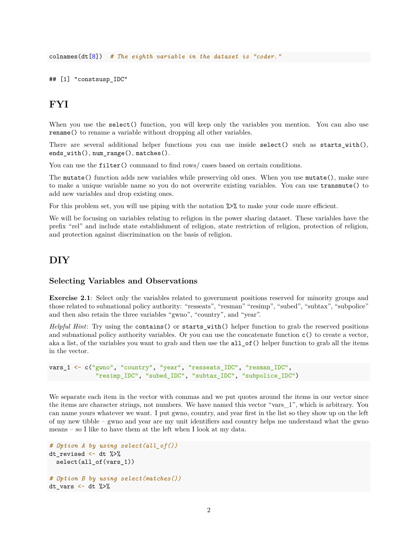colnames(dt[8]) *# The eighth variable in the dataset is "coder."*

## [1] "constsusp\_IDC"

# **FYI**

When you use the select () function, you will keep only the variables you mention. You can also use rename() to rename a variable without dropping all other variables.

There are several additional helper functions you can use inside select() such as starts\_with(), ends\_with(), num\_range(), matches().

You can use the filter() command to find rows/ cases based on certain conditions.

The mutate() function adds new variables while preserving old ones. When you use mutate(), make sure to make a unique variable name so you do not overwrite existing variables. You can use transmute() to add new variables and drop existing ones.

For this problem set, you will use piping with the notation  $\frac{1}{2}$  to make your code more efficient.

We will be focusing on variables relating to religion in the power sharing dataset. These variables have the prefix "rel" and include state establishment of religion, state restriction of religion, protection of religion, and protection against discrimination on the basis of religion.

## **DIY**

#### **Selecting Variables and Observations**

**Exercise 2.1**: Select only the variables related to government positions reserved for minority groups and those related to subnational policy authority: "resseats", "resman" "resimp", "subed", "subtax", "subpolice" and then also retain the three variables "gwno", "country", and "year".

*Helpful Hint*: Try using the contains() or starts\_with() helper function to grab the reserved positions and subnational policy authority variables. Or you can use the concatenate function  $c()$  to create a vector, aka a list, of the variables you want to grab and then use the all\_of() helper function to grab all the items in the vector.

vars\_1 <- c("gwno", "country", "year", "resseats\_IDC", "resman\_IDC", "resimp\_IDC", "subed\_IDC", "subtax\_IDC", "subpolice\_IDC")

We separate each item in the vector with commas and we put quotes around the items in our vector since the items are character strings, not numbers. We have named this vector "vars\_1", which is arbitrary. You can name yours whatever we want. I put gwno, country, and year first in the list so they show up on the left of my new tibble – gwno and year are my unit identifiers and country helps me understand what the gwno means – so I like to have them at the left when I look at my data.

```
# Option A by using select(all_of())
dt_revised <- dt %>%
  select(all_of(vars_1))
# Option B by using select(matches())
dt_vars \leftarrow dt %>%
```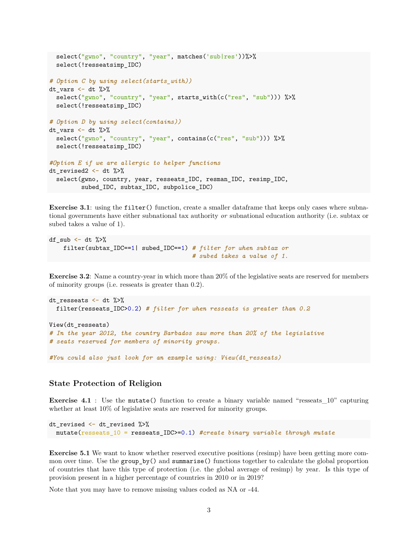```
select("gwno", "country", "year", matches('sub|res'))%>%
  select(!resseatsimp_IDC)
# Option C by using select(starts_with))
dt<sub>_vars</sub> \leftarrow dt %>%
  select("gwno", "country", "year", starts_with(c("res", "sub"))) %>%
  select(!resseatsimp_IDC)
# Option D by using select(contains))
dt vars \leftarrow dt %>%
  select("gwno", "country", "year", contains(c("res", "sub"))) %>%
  select(!resseatsimp_IDC)
#Option E if we are allergic to helper functions
dt_revised2 \leq dt \frac{1}{2}select(gwno, country, year, resseats_IDC, resman_IDC, resimp_IDC,
         subed_IDC, subtax_IDC, subpolice_IDC)
```
**Exercise 3.1**: using the filter() function, create a smaller dataframe that keeps only cases where subnational governments have either subnational tax authority *or* subnational education authority (i.e. subtax or subed takes a value of 1).

```
df sub \leftarrow dt \left\langle \!\! \right. \right. ^{\circ}\!\!filter(subtax_IDC==1| subed_IDC==1) # filter for when subtax or
                                                           # subed takes a value of 1.
```
**Exercise 3.2**: Name a country-year in which more than 20% of the legislative seats are reserved for members of minority groups (i.e. resseats is greater than 0.2).

```
dt_resseats <- dt %>%
 filter(resseats_IDC>0.2) # filter for when resseats is greater than 0.2
View(dt_resseats)
# In the year 2012, the country Barbados saw more than 20% of the legislative
# seats reserved for members of minority groups.
```
*#You could also just look for an example using: View(dt\_resseats)*

### **State Protection of Religion**

**Exercise 4.1** : Use the mutate() function to create a binary variable named "resseats 10" capturing whether at least  $10\%$  of legislative seats are reserved for minority groups.

```
dt_revised <- dt_revised %>%
 mutate(resseats_10 = resseats_IDC>=0.1) #create binary variable through mutate
```
**Exercise 5.1** We want to know whether reserved executive positions (resimp) have been getting more common over time. Use the group\_by() and summarise() functions together to calculate the global proportion of countries that have this type of protection (i.e. the global average of resimp) by year. Is this type of provision present in a higher percentage of countries in 2010 or in 2019?

Note that you may have to remove missing values coded as NA or -44.